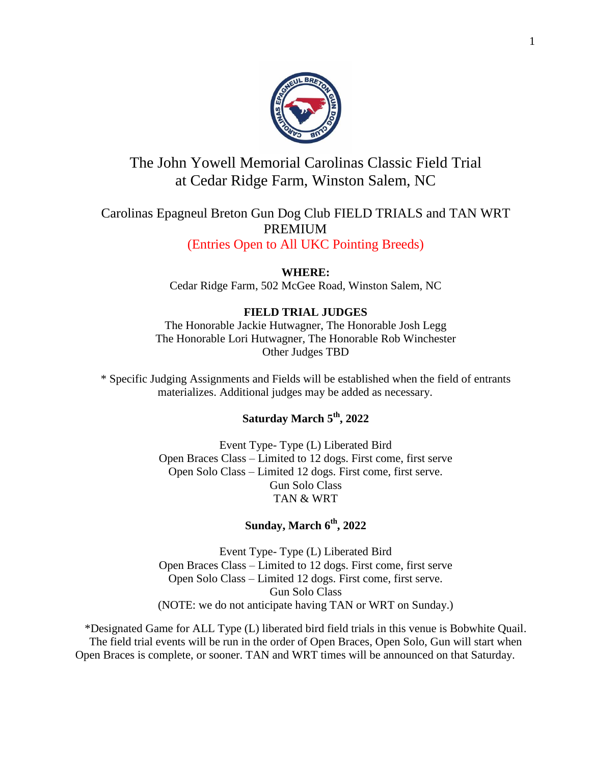

# The John Yowell Memorial Carolinas Classic Field Trial at Cedar Ridge Farm, Winston Salem, NC

## Carolinas Epagneul Breton Gun Dog Club FIELD TRIALS and TAN WRT PREMIUM

(Entries Open to All UKC Pointing Breeds)

**WHERE:** Cedar Ridge Farm, 502 McGee Road, Winston Salem, NC

### **FIELD TRIAL JUDGES**

The Honorable Jackie Hutwagner, The Honorable Josh Legg The Honorable Lori Hutwagner, The Honorable Rob Winchester Other Judges TBD

\* Specific Judging Assignments and Fields will be established when the field of entrants materializes. Additional judges may be added as necessary.

## **Saturday March 5th, 2022**

Event Type- Type (L) Liberated Bird Open Braces Class – Limited to 12 dogs. First come, first serve Open Solo Class – Limited 12 dogs. First come, first serve. Gun Solo Class TAN & WRT

## **Sunday, March 6th, 2022**

Event Type- Type (L) Liberated Bird Open Braces Class – Limited to 12 dogs. First come, first serve Open Solo Class – Limited 12 dogs. First come, first serve. Gun Solo Class (NOTE: we do not anticipate having TAN or WRT on Sunday.)

\*Designated Game for ALL Type (L) liberated bird field trials in this venue is Bobwhite Quail. The field trial events will be run in the order of Open Braces, Open Solo, Gun will start when Open Braces is complete, or sooner. TAN and WRT times will be announced on that Saturday.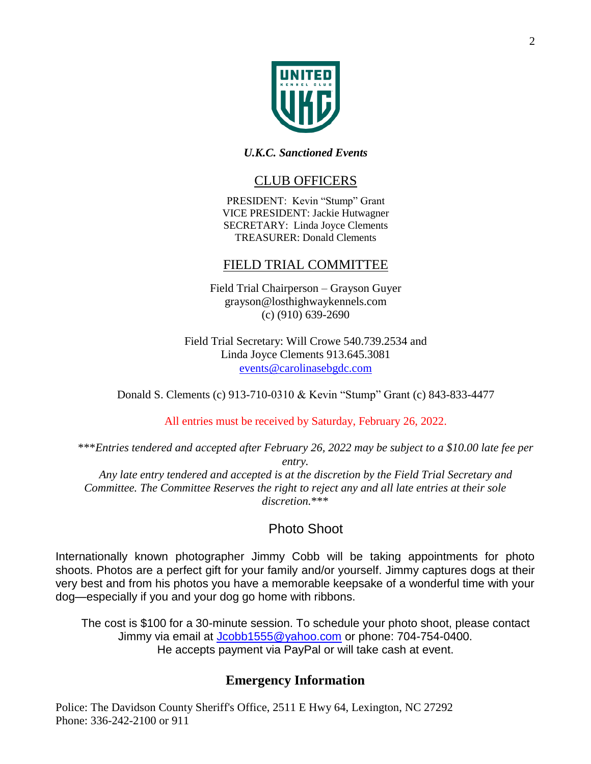

#### *U.K.C. Sanctioned Events*

### CLUB OFFICERS

PRESIDENT: Kevin "Stump" Grant VICE PRESIDENT: Jackie Hutwagner SECRETARY: Linda Joyce Clements TREASURER: Donald Clements

## FIELD TRIAL COMMITTEE

Field Trial Chairperson – Grayson Guyer grayson@losthighwaykennels.com (c) (910) 639-2690

Field Trial Secretary: Will Crowe 540.739.2534 and Linda Joyce Clements 913.645.3081 [events@carolinasebgdc.com](mailto:events@carolinasebgdc.com)

Donald S. Clements (c) 913-710-0310 & Kevin "Stump" Grant (c) 843-833-4477

All entries must be received by Saturday, February 26, 2022.

\*\*\**Entries tendered and accepted after February 26, 2022 may be subject to a \$10.00 late fee per entry. Any late entry tendered and accepted is at the discretion by the Field Trial Secretary and Committee. The Committee Reserves the right to reject any and all late entries at their sole* 

*discretion.*\*\*\*

## Photo Shoot

Internationally known photographer Jimmy Cobb will be taking appointments for photo shoots. Photos are a perfect gift for your family and/or yourself. Jimmy captures dogs at their very best and from his photos you have a memorable keepsake of a wonderful time with your dog—especially if you and your dog go home with ribbons.

The cost is \$100 for a 30-minute session. To schedule your photo shoot, please contact Jimmy via email at [Jcobb1555@yahoo.com](mailto:Jcobb1555@yahoo.com) or phone: 704-754-0400. He accepts payment via PayPal or will take cash at event.

## **Emergency Information**

Police: The Davidson County Sheriff's Office, 2511 E Hwy 64, Lexington, NC 27292 Phone: 336-242-2100 or 911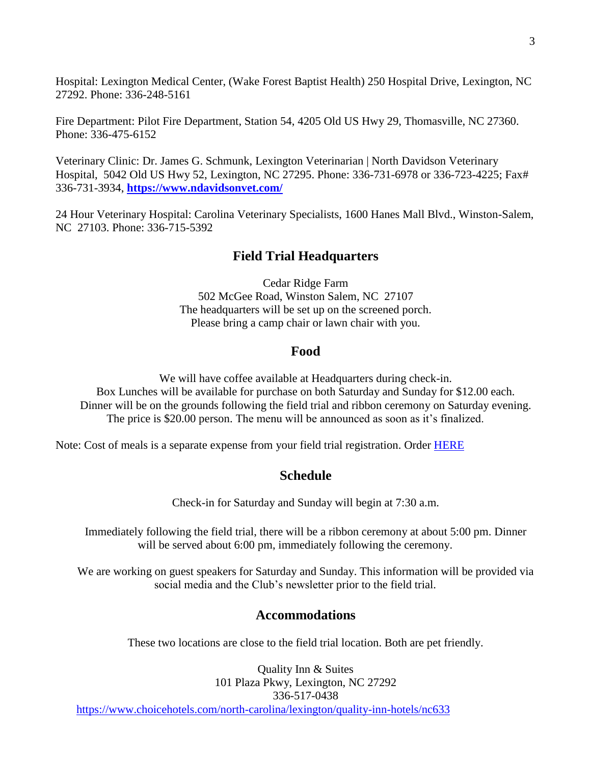Hospital: Lexington Medical Center, (Wake Forest Baptist Health) 250 Hospital Drive, Lexington, NC 27292. Phone: 336-248-5161

Fire Department: Pilot Fire Department, Station 54, 4205 Old US Hwy 29, Thomasville, NC 27360. Phone: 336-475-6152

Veterinary Clinic: Dr. James G. Schmunk, Lexington Veterinarian | North Davidson Veterinary Hospital, 5042 Old US Hwy 52, Lexington, NC 27295. Phone: 336-731-6978 or 336-723-4225; Fax# 336-731-3934, **<https://www.ndavidsonvet.com/>**

24 Hour Veterinary Hospital: Carolina Veterinary Specialists, 1600 Hanes Mall Blvd., Winston-Salem, NC 27103. Phone: 336-715-5392

#### **Field Trial Headquarters**

Cedar Ridge Farm 502 McGee Road, Winston Salem, NC 27107 The headquarters will be set up on the screened porch. Please bring a camp chair or lawn chair with you.

#### **Food**

We will have coffee available at Headquarters during check-in. Box Lunches will be available for purchase on both Saturday and Sunday for \$12.00 each. Dinner will be on the grounds following the field trial and ribbon ceremony on Saturday evening. The price is \$20.00 person. The menu will be announced as soon as it's finalized.

Note: Cost of meals is a separate expense from your field trial registration. Order **HERE** 

#### **Schedule**

Check-in for Saturday and Sunday will begin at 7:30 a.m.

Immediately following the field trial, there will be a ribbon ceremony at about 5:00 pm. Dinner will be served about 6:00 pm, immediately following the ceremony.

We are working on guest speakers for Saturday and Sunday. This information will be provided via social media and the Club's newsletter prior to the field trial.

#### **Accommodations**

These two locations are close to the field trial location. Both are pet friendly.

Quality Inn & Suites 101 Plaza Pkwy, Lexington, NC 27292 336-517-0438 <https://www.choicehotels.com/north-carolina/lexington/quality-inn-hotels/nc633>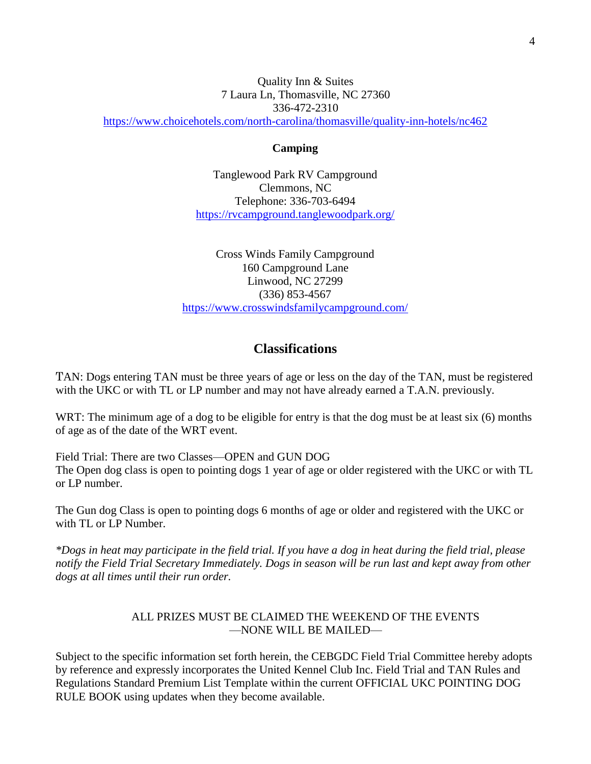#### Quality Inn & Suites 7 Laura Ln, Thomasville, NC 27360 336-472-2310

<https://www.choicehotels.com/north-carolina/thomasville/quality-inn-hotels/nc462>

#### **Camping**

Tanglewood Park RV Campground Clemmons, NC Telephone: 336-703-6494 <https://rvcampground.tanglewoodpark.org/>

Cross Winds Family Campground 160 Campground Lane Linwood, NC 27299 (336) 853-4567 <https://www.crosswindsfamilycampground.com/>

### **Classifications**

TAN: Dogs entering TAN must be three years of age or less on the day of the TAN, must be registered with the UKC or with TL or LP number and may not have already earned a T.A.N. previously.

WRT: The minimum age of a dog to be eligible for entry is that the dog must be at least six (6) months of age as of the date of the WRT event.

Field Trial: There are two Classes—OPEN and GUN DOG The Open dog class is open to pointing dogs 1 year of age or older registered with the UKC or with TL or LP number.

The Gun dog Class is open to pointing dogs 6 months of age or older and registered with the UKC or with TL or LP Number.

*\*Dogs in heat may participate in the field trial. If you have a dog in heat during the field trial, please notify the Field Trial Secretary Immediately. Dogs in season will be run last and kept away from other dogs at all times until their run order.*

#### ALL PRIZES MUST BE CLAIMED THE WEEKEND OF THE EVENTS —NONE WILL BE MAILED—

Subject to the specific information set forth herein, the CEBGDC Field Trial Committee hereby adopts by reference and expressly incorporates the United Kennel Club Inc. Field Trial and TAN Rules and Regulations Standard Premium List Template within the current OFFICIAL UKC POINTING DOG RULE BOOK using updates when they become available.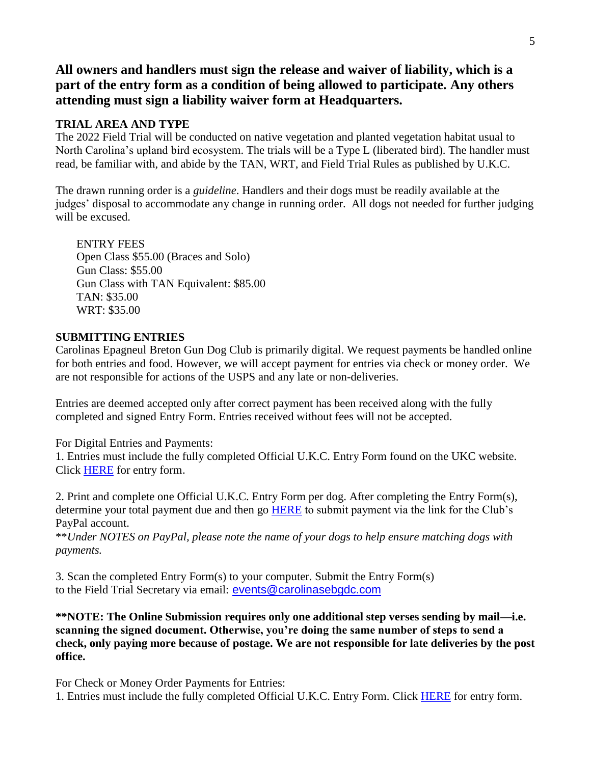**All owners and handlers must sign the release and waiver of liability, which is a part of the entry form as a condition of being allowed to participate. Any others attending must sign a liability waiver form at Headquarters.**

#### **TRIAL AREA AND TYPE**

The 2022 Field Trial will be conducted on native vegetation and planted vegetation habitat usual to North Carolina's upland bird ecosystem. The trials will be a Type L (liberated bird). The handler must read, be familiar with, and abide by the TAN, WRT, and Field Trial Rules as published by U.K.C.

The drawn running order is a *guideline*. Handlers and their dogs must be readily available at the judges' disposal to accommodate any change in running order. All dogs not needed for further judging will be excused.

ENTRY FEES Open Class \$55.00 (Braces and Solo) Gun Class: \$55.00 Gun Class with TAN Equivalent: \$85.00 TAN: \$35.00 WRT: \$35.00

#### **SUBMITTING ENTRIES**

Carolinas Epagneul Breton Gun Dog Club is primarily digital. We request payments be handled online for both entries and food. However, we will accept payment for entries via check or money order. We are not responsible for actions of the USPS and any late or non-deliveries.

Entries are deemed accepted only after correct payment has been received along with the fully completed and signed Entry Form. Entries received without fees will not be accepted.

For Digital Entries and Payments:

1. Entries must include the fully completed Official U.K.C. Entry Form found on the UKC website. Click [HERE](https://www.ukcdogs.com/docs/huntingforms/field-trial-entry-form.pdf) for entry form.

2. Print and complete one Official U.K.C. Entry Form per dog. After completing the Entry Form(s), determine your total payment due and then go [HERE](https://www.paypal.com/paypalme/carolinaseb?locale.x=en_US) to submit payment via the link for the Club's PayPal account.

\*\**Under NOTES on PayPal, please note the name of your dogs to help ensure matching dogs with payments.*

3. Scan the completed Entry Form(s) to your computer. Submit the Entry Form(s) to the Field Trial Secretary via email: [events@carolinasebgdc.com](mailto:events@carolinasebgdc.com)

**\*\*NOTE: The Online Submission requires only one additional step verses sending by mail—i.e. scanning the signed document. Otherwise, you're doing the same number of steps to send a check, only paying more because of postage. We are not responsible for late deliveries by the post office.**

For Check or Money Order Payments for Entries:

1. Entries must include the fully completed Official U.K.C. Entry Form. Click [HERE](https://www.ukcdogs.com/docs/huntingforms/field-trial-entry-form.pdf) for entry form.